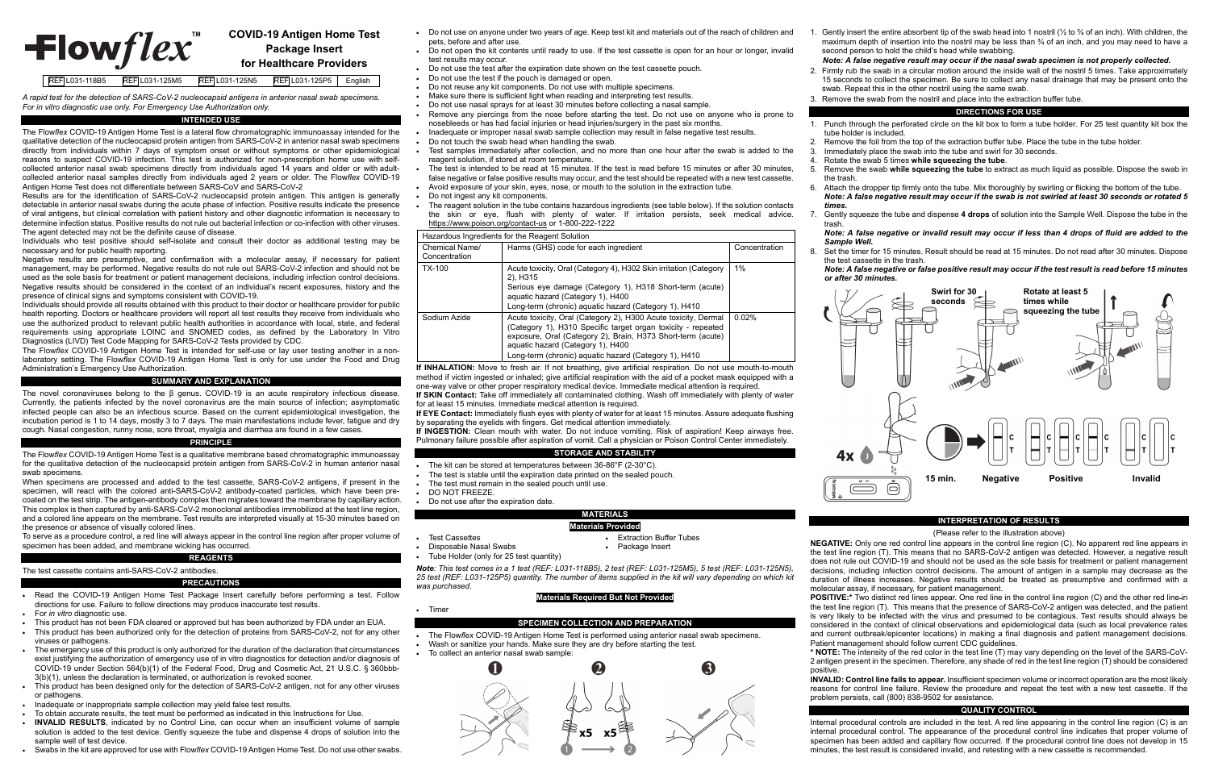# **COVID-19 Antigen Home Test**   $\pm$ lowflex **Package Insert for Healthcare Providers**

# REF L031-118B5 REF L031-125M5 REF L031-125N5 REF L031-125P5 English

*A rapid test for the detection of SARS-CoV-2 nucleocapsid antigens in anterior nasal swab specimens. For in vitro diagnostic use only. For Emergency Use Authorization only.* 

### **INTENDED USE**

The Flow*flex* COVID-19 Antigen Home Test is a lateral flow chromatographic immunoassay intended for the qualitative detection of the nucleocapsid protein antigen from SARS-CoV-2 in anterior nasal swab specimens directly from individuals within 7 days of symptom onset or without symptoms or other epidemiological reasons to suspect COVID-19 infection. This test is authorized for non-prescription home use with selfcollected anterior nasal swab specimens directly from individuals aged 14 years and older or with adultcollected anterior nasal samples directly from individuals aged 2 years or older. The Flow*flex* COVID-19 Antigen Home Test does not differentiate between SARS-CoV and SARS-CoV-2

Results are for the identification of SARS-CoV-2 nucleocapsid protein antigen. This antigen is generally detectable in anterior nasal swabs during the acute phase of infection. Positive results indicate the presence of viral antigens, but clinical correlation with patient history and other diagnostic information is necessary to determine infection status. Positive results do not rule out bacterial infection or co-infection with other viruses. The agent detected may not be the definite cause of disease.

Individuals who test positive should self-isolate and consult their doctor as additional testing may be necessary and for public health reporting.

Negative results are presumptive, and confirmation with a molecular assay, if necessary for patient management, may be performed. Negative results do not rule out SARS-CoV-2 infection and should not be used as the sole basis for treatment or patient management decisions, including infection control decisions. Negative results should be considered in the context of an individual's recent exposures, history and the presence of clinical signs and symptoms consistent with COVID-19.

Individuals should provide all results obtained with this product to their doctor or healthcare provider for public health reporting. Doctors or healthcare providers will report all test results they receive from individuals who use the authorized product to relevant public health authorities in accordance with local, state, and federal requirements using appropriate LOINC and SNOMED codes, as defined by the Laboratory In Vitro Diagnostics (LIVD) Test Code Mapping for SARS-CoV-2 Tests provided by CDC.

The Flow*flex* COVID-19 Antigen Home Test is intended for self-use or lay user testing another in a nonlaboratory setting. The Flow*flex* COVID-19 Antigen Home Test is only for use under the Food and Drug Administration's Emergency Use Authorization.

# **SUMMARY AND EXPLANATION**

- Read the COVID-19 Antigen Home Test Package Insert carefully before performing a test. Follow directions for use. Failure to follow directions may produce inaccurate test results.
- For *in vitro* diagnostic use.
- $\bullet$   $\;$  This product has not been FDA cleared or approved but has been authorized by FDA under an EUA.
- This product has been authorized only for the detection of proteins from SARS-CoV-2, not for any other viruses or pathogens. The emergency use of this product is only authorized for the duration of the declaration that circumstances
- exist justifying the authorization of emergency use of in vitro diagnostics for detection and/or diagnosis of COVID-19 under Section 564(b)(1) of the Federal Food, Drug and Cosmetic Act, 21 U.S.C. § 360bbb-3(b)(1), unless the declaration is terminated, or authorization is revoked sooner.
- This product has been designed only for the detection of SARS-CoV-2 antigen, not for any other viruses or pathogens.
- Inadequate or inappropriate sample collection may yield false test results.
- $\bullet$  To obtain accurate results, the test must be performed as indicated in this Instructions for Use.
- . **INVALID RESULTS**, indicated by no Control Line, can occur when an insufficient volume of sample solution is added to the test device. Gently squeeze the tube and dispense 4 drops of solution into the sample well of test device.
- Swabs in the kit are approved for use with Flow*flex* COVID-19 Antigen Home Test. Do not use other swabs.

The novel coronaviruses belong to the β genus. COVID-19 is an acute respiratory infectious disease. Currently, the patients infected by the novel coronavirus are the main source of infection; asymptomatic infected people can also be an infectious source. Based on the current epidemiological investigation, the incubation period is 1 to 14 days, mostly 3 to 7 days. The main manifestations include fever, fatigue and dry cough. Nasal congestion, runny nose, sore throat, myalgia and diarrhea are found in a few cases.

### **PRINCIPLE**

The Flow*flex* COVID-19 Antigen Home Test is a qualitative membrane based chromatographic immunoassay for the qualitative detection of the nucleocapsid protein antigen from SARS-CoV-2 in human anterior nasal swab specimens.

- $\bullet$   $\;$  Do not use on anyone under two years of age. Keep test kit and materials out of the reach of children and pets, before and after use.
- e Do not open the kit contents until ready to use. If the test cassette is open for an hour or longer, invalid test results may occur.
- e Do not use the test after the expiration date shown on the test cassette pouch.
- Do not use the test if the pouch is damaged or open.
- Do not reuse any kit components. Do not use with multiple specimens.
- Make sure there is sufficient light when reading and interpreting test results.
- Do not use nasal sprays for at least 30 minutes before collecting a nasal sample.
- Remove any piercings from the nose before starting the test. Do not use on anyone who is prone to nosebleeds or has had facial injuries or head injuries/surgery in the past six months.
- e Inadequate or improper nasal swab sample collection may result in false negative test results.
- . Do not touch the swab head when handling the swab.
- e Test samples immediately after collection, and no more than one hour after the swab is added to the reagent solution, if stored at room temperature.
- e The test is intended to be read at 15 minutes. If the test is read before 15 minutes or after 30 minutes, false negative or false positive results may occur, and the test should be repeated with a new test cassette.
- e Avoid exposure of your skin, eyes, nose, or mouth to the solution in the extraction tube. Do not ingest any kit components.
- e The reagent solution in the tube contains hazardous ingredients (see table below). If the solution contacts the skin or eye, flush with plenty of water. If irritation persists, seek medical advice. https://www.poison.org/contact-us or 1-800-222-1222

# **Hazardous Ingredients for the Reagent Solution**

.

e

When specimens are processed and added to the test cassette, SARS-CoV-2 antigens, if present in the specimen, will react with the colored anti-SARS-CoV-2 antibody-coated particles, which have been precoated on the test strip. The antigen-antibody complex then migrates toward the membrane by capillary action. This complex is then captured by anti-SARS-CoV-2 monoclonal antibodies immobilized at the test line region, and a colored line appears on the membrane. Test results are interpreted visually at 15-30 minutes based on the presence or absence of visually colored lines.

To serve as a procedure control, a red line will always appear in the control line region after proper volume of specimen has been added, and membrane wicking has occurred.

# **REAG**

# The test cassette contains anti-SARS-CoV-2 antibodies.

# **PRECAUTIONS**

- The kit can be stored at temperatures between 36-86°F (2-30°C).
- The test is stable until the expiration date printed on the sealed pouch.
- The test must remain in the sealed pouch until use.
- DO NOT FREEZE.

- **•** Extraction Buffer Tubes
- Disposable Nasal Swabs **Calculate Contract Contract Contract Contract Contract Contract Contract Contract Contract**
- Tube Holder (only for 25 test quantity)

1. Gently insert the entire absorbent tip of the swab head into 1 nostril ( $\frac{1}{2}$  to  $\frac{3}{4}$  of an inch). With children, the maximum depth of insertion into the nostril may be less than  $\frac{3}{4}$  of an inch, and you may need to have a second person to hold the child's head while swabbing.

- tube holder is included.
- 2.
- 3.
	- the trash.
- *times.*
- 7.trash

**POSITIVE:\*** Two distinct red lines appear. One red line in the control line region (C) and the other red line-in the test line region (T). This means that the presence of SARS-CoV-2 antigen was detected, and the patient is very likely to be infected with the virus and presumed to be contagious. Test results should always be considered in the context of clinical observations and epidemiological data (such as local prevalence rates and current outbreak/epicenter locations) in making a final diagnosis and patient management decisions. Patient management should follow current CDC guidelines.

| Chemical Name/<br>Concentration | Harms (GHS) code for each ingredient                                                                                                                                                                                                                                                        | Concentration |  |
|---------------------------------|---------------------------------------------------------------------------------------------------------------------------------------------------------------------------------------------------------------------------------------------------------------------------------------------|---------------|--|
| TX-100                          | Acute toxicity, Oral (Category 4), H302 Skin irritation (Category<br>2), H315<br>Serious eye damage (Category 1), H318 Short-term (acute)<br>aquatic hazard (Category 1), H400<br>Long-term (chronic) aguatic hazard (Category 1), H410                                                     | 1%            |  |
| Sodium Azide                    | Acute toxicity, Oral (Category 2), H300 Acute toxicity, Dermal<br>(Category 1), H310 Specific target organ toxicity - repeated<br>exposure, Oral (Category 2), Brain, H373 Short-term (acute)<br>aquatic hazard (Category 1), H400<br>Long-term (chronic) aguatic hazard (Category 1), H410 | 0.02%         |  |

**If INHALATION:** Move to fresh air. If not breathing, give artificial respiration. Do not use mouth-to-mouth method if victim ingested or inhaled; give artificial respiration with the aid of a pocket mask equipped with a one-way valve or other proper respiratory medical device. Immediate medical attention is required.

**If SKIN Contact:** Take off immediately all contaminated clothing. Wash off immediately with plenty of water for at least 15 minutes. Immediate medical attention is required.

**If EYE Contact:** Immediately flush eyes with plenty of water for at least 15 minutes. Assure adequate flushing by separating the eyelids with fingers. Get medical attention immediately.

**If INGESTION:** Clean mouth with water. Do not induce vomiting. Risk of aspiration! Keep airways free. Pulmonary failure possible after aspiration of vomit. Call a physician or Poison Control Center immediately.

# **STORAGE AND STABILITY**

Do not use after the expiration date.

# **MATERIALS**

# **Materials Provided**

Test Cassettes

۰

e

*Note: This test comes in a 1 test (REF: L031-118B5), 2 test (REF: L031-125M5), 5 test (REF: L031-125N5), 25 test (REF: L031-125P5) quantity. The number of items supplied in the kit will vary depending on which kit was purchased*.

# **Materials Required But Not Provided**

Timer

# **SPECIMEN COLLECTION AND PREPARATION**

- The Flow*flex* COVID-19 Antigen Home Test is performed using anterior nasal swab specimens.
- Wash or sanitize your hands. Make sure they are dry before starting the test.
- To collect an anterior nasal swab sample:



- 
- 
- 

# *Note: A false negative result may occur if the nasal swab specimen is not properly collected.*

2. Firmly rub the swab in a circular motion around the inside wall of the nostril 5 times. Take approximately 15 seconds to collect the specimen. Be sure to collect any nasal drainage that may be present onto the swab. Repeat this in the other nostril using the same swab.

3. Remove the swab from the nostril and place into the extraction buffer tube.

### **DIRECTIONS FOR USE**

1. Punch through the perforated circle on the kit box to form a tube holder. For 25 test quantity kit box the

Remove the foil from the top of the extraction buffer tube. Place the tube in the tube holder.

Immediately place the swab into the tube and swirl for 30 seconds.

4. Rotate the swab 5 times **while squeezing the tube**.

5. Remove the swab **while squeezing the tube** to extract as much liquid as possible. Dispose the swab in

6. Attach the dropper tip firmly onto the tube. Mix thoroughly by swirling or flicking the bottom of the tube. *Note: A false negative result may occur if the swab is not swirled at least 30 seconds or rotated 5*

Gently squeeze the tube and dispense **4 drops** of solution into the Sample Well. Dispose the tube in the

# *Note: A false negative or invalid result may occur if less than 4 drops of fluid are added to the*

*Sample Well.*

Set the timer for 15 minutes. Result should be read at 15 minutes. Do not read after 30 minutes. Dispose

- 8.the test cassette in the trash.
- *or after 30 minutes.*

*Note: A false negative or false positive result may occur if the test result is read before 15 minutes*

### **INTERPRETATION OF RESULTS**

(Please refer to the illustration above)

**NEGATIVE:** Only one red control line appears in the control line region (C). No apparent red line appears in the test line region (T). This means that no SARS-CoV-2 antigen was detected. However, a negative result does not rule out COVID-19 and should not be used as the sole basis for treatment or patient management decisions, including infection control decisions. The amount of antigen in a sample may decrease as the duration of illness increases. Negative results should be treated as presumptive and confirmed with a molecular assay, if necessary, for patient management.

**\* NOTE:** The intensity of the red color in the test line (T) may vary depending on the level of the SARS-CoV-2 antigen present in the specimen. Therefore, any shade of red in the test line region (T) should be considered

positive.

**INVALID: Control line fails to appear.** Insufficient specimen volume or incorrect operation are the most likely reasons for control line failure. Review the procedure and repeat the test with a new test cassette. If the problem persists, call (800) 838-9502 for assistance.

# **QUALITY CONTROL**

Internal procedural controls are included in the test. A red line appearing in the control line region (C) is an internal procedural control. The appearance of the procedural control line indicates that proper volume of specimen has been added and capillary flow occurred. If the procedural control line does not develop in 15 minutes, the test result is considered invalid, and retesting with a new cassette is recommended.





| SARS-<br>$\ddot{a}$ |  |
|---------------------|--|
|                     |  |
|                     |  |